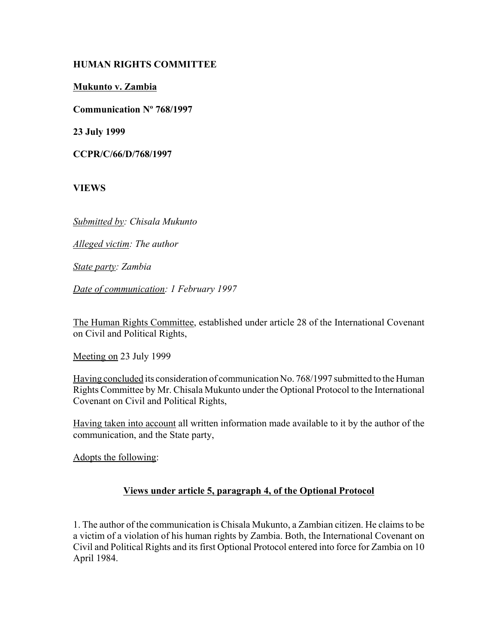# **HUMAN RIGHTS COMMITTEE**

**Mukunto v. Zambia**

**Communication Nº 768/1997**

**23 July 1999**

**CCPR/C/66/D/768/1997**

**VIEWS**

*Submitted by: Chisala Mukunto* 

*Alleged victim: The author* 

*State party: Zambia* 

*Date of communication: 1 February 1997* 

The Human Rights Committee, established under article 28 of the International Covenant on Civil and Political Rights,

Meeting on 23 July 1999

Having concluded its consideration of communication No. 768/1997 submitted to the Human Rights Committee by Mr. Chisala Mukunto under the Optional Protocol to the International Covenant on Civil and Political Rights,

Having taken into account all written information made available to it by the author of the communication, and the State party,

Adopts the following:

# **Views under article 5, paragraph 4, of the Optional Protocol**

1. The author of the communication is Chisala Mukunto, a Zambian citizen. He claims to be a victim of a violation of his human rights by Zambia. Both, the International Covenant on Civil and Political Rights and its first Optional Protocol entered into force for Zambia on 10 April 1984.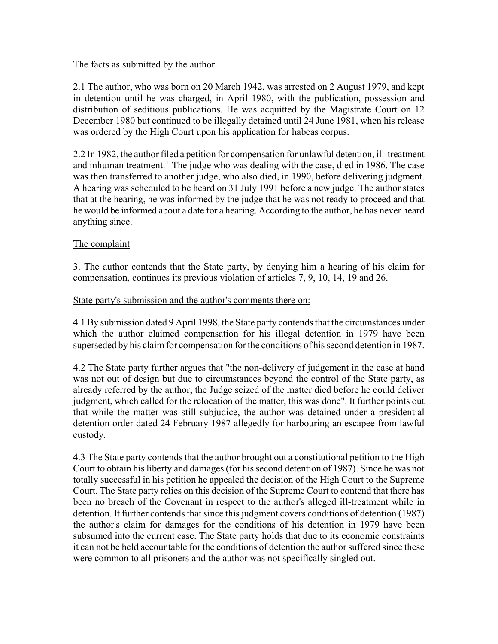## The facts as submitted by the author

2.1 The author, who was born on 20 March 1942, was arrested on 2 August 1979, and kept in detention until he was charged, in April 1980, with the publication, possession and distribution of seditious publications. He was acquitted by the Magistrate Court on 12 December 1980 but continued to be illegally detained until 24 June 1981, when his release was ordered by the High Court upon his application for habeas corpus.

2.2 In 1982, the author filed a petition for compensation for unlawful detention, ill-treatment and inhuman treatment.  $\frac{1}{1}$  The judge who was dealing with the case, died in 1986. The case was then transferred to another judge, who also died, in 1990, before delivering judgment. A hearing was scheduled to be heard on 31 July 1991 before a new judge. The author states that at the hearing, he was informed by the judge that he was not ready to proceed and that he would be informed about a date for a hearing. According to the author, he has never heard anything since.

# The complaint

3. The author contends that the State party, by denying him a hearing of his claim for compensation, continues its previous violation of articles 7, 9, 10, 14, 19 and 26.

### State party's submission and the author's comments there on:

4.1 By submission dated 9 April 1998, the State party contends that the circumstances under which the author claimed compensation for his illegal detention in 1979 have been superseded by his claim for compensation for the conditions of his second detention in 1987.

4.2 The State party further argues that "the non-delivery of judgement in the case at hand was not out of design but due to circumstances beyond the control of the State party, as already referred by the author, the Judge seized of the matter died before he could deliver judgment, which called for the relocation of the matter, this was done". It further points out that while the matter was still subjudice, the author was detained under a presidential detention order dated 24 February 1987 allegedly for harbouring an escapee from lawful custody.

4.3 The State party contends that the author brought out a constitutional petition to the High Court to obtain his liberty and damages (for his second detention of 1987). Since he was not totally successful in his petition he appealed the decision of the High Court to the Supreme Court. The State party relies on this decision of the Supreme Court to contend that there has been no breach of the Covenant in respect to the author's alleged ill-treatment while in detention. It further contends that since this judgment covers conditions of detention (1987) the author's claim for damages for the conditions of his detention in 1979 have been subsumed into the current case. The State party holds that due to its economic constraints it can not be held accountable for the conditions of detention the author suffered since these were common to all prisoners and the author was not specifically singled out.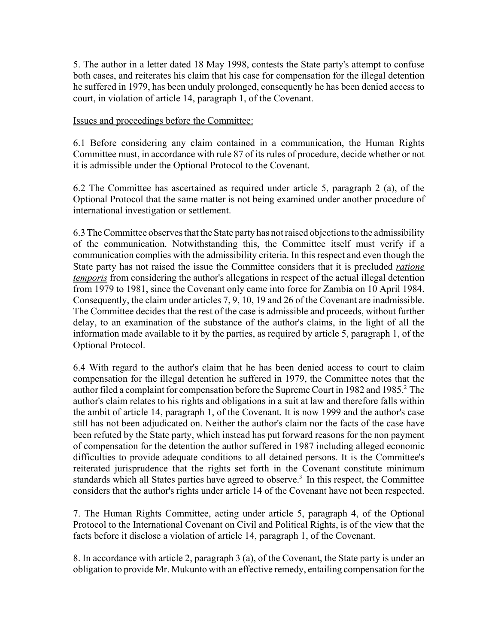5. The author in a letter dated 18 May 1998, contests the State party's attempt to confuse both cases, and reiterates his claim that his case for compensation for the illegal detention he suffered in 1979, has been unduly prolonged, consequently he has been denied access to court, in violation of article 14, paragraph 1, of the Covenant.

Issues and proceedings before the Committee:

6.1 Before considering any claim contained in a communication, the Human Rights Committee must, in accordance with rule 87 of its rules of procedure, decide whether or not it is admissible under the Optional Protocol to the Covenant.

6.2 The Committee has ascertained as required under article 5, paragraph 2 (a), of the Optional Protocol that the same matter is not being examined under another procedure of international investigation or settlement.

6.3 The Committee observes that the State party has not raised objections to the admissibility of the communication. Notwithstanding this, the Committee itself must verify if a communication complies with the admissibility criteria. In this respect and even though the State party has not raised the issue the Committee considers that it is precluded *ratione temporis* from considering the author's allegations in respect of the actual illegal detention from 1979 to 1981, since the Covenant only came into force for Zambia on 10 April 1984. Consequently, the claim under articles 7, 9, 10, 19 and 26 of the Covenant are inadmissible. The Committee decides that the rest of the case is admissible and proceeds, without further delay, to an examination of the substance of the author's claims, in the light of all the information made available to it by the parties, as required by article 5, paragraph 1, of the Optional Protocol.

6.4 With regard to the author's claim that he has been denied access to court to claim compensation for the illegal detention he suffered in 1979, the Committee notes that the author filed a complaint for compensation before the Supreme Court in 1982 and 1985.<sup>2</sup> The author's claim relates to his rights and obligations in a suit at law and therefore falls within the ambit of article 14, paragraph 1, of the Covenant. It is now 1999 and the author's case still has not been adjudicated on. Neither the author's claim nor the facts of the case have been refuted by the State party, which instead has put forward reasons for the non payment of compensation for the detention the author suffered in 1987 including alleged economic difficulties to provide adequate conditions to all detained persons. It is the Committee's reiterated jurisprudence that the rights set forth in the Covenant constitute minimum standards which all States parties have agreed to observe.<sup>3</sup> In this respect, the Committee considers that the author's rights under article 14 of the Covenant have not been respected.

7. The Human Rights Committee, acting under article 5, paragraph 4, of the Optional Protocol to the International Covenant on Civil and Political Rights, is of the view that the facts before it disclose a violation of article 14, paragraph 1, of the Covenant.

8. In accordance with article 2, paragraph 3 (a), of the Covenant, the State party is under an obligation to provide Mr. Mukunto with an effective remedy, entailing compensation for the